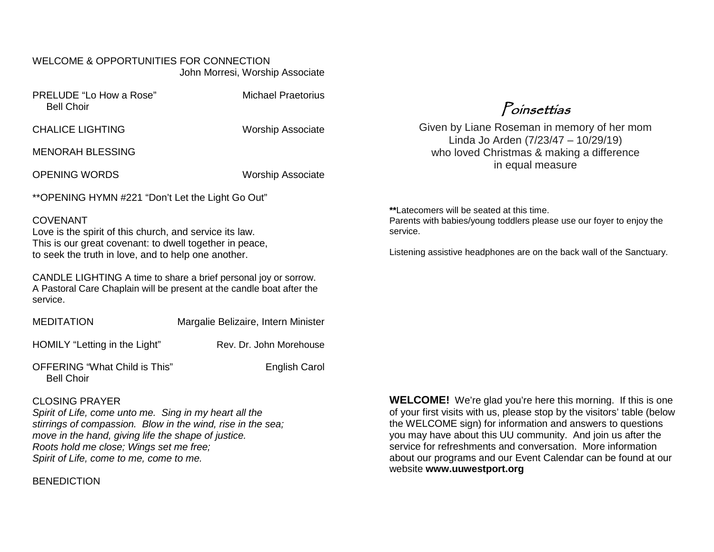#### WELCOME & OPPORTUNITIES FOR CONNECTION John Morresi, Worship Associate

| PRELUDE "Lo How a Rose" |  |
|-------------------------|--|
| <b>Bell Choir</b>       |  |
|                         |  |

**Michael Praetorius** 

CHALICE LIGHTING Worship Associate

MENORAH BLESSING

OPENING WORDS WORDS Worship Associate

\*\*OPENING HYMN #221 "Don't Let the Light Go Out"

#### **COVENANT**

Love is the spirit of this church, and service its law. This is our great covenant: to dwell together in peace, to seek the truth in love, and to help one another.

CANDLE LIGHTING A time to share a brief personal joy or sorrow. A Pastoral Care Chaplain will be present at the candle boat after the service.

MEDITATION Margalie Belizaire, Intern Minister

HOMILY "Letting in the Light" Rev. Dr. John Morehouse

OFFERING "What Child is This" English Carol Bell Choir

#### CLOSING PRAYER

*Spirit of Life, come unto me. Sing in my heart all the stirrings of compassion. Blow in the wind, rise in the sea; move in the hand, giving life the shape of justice. Roots hold me close; Wings set me free; Spirit of Life, come to me, come to me.*

**BENEDICTION** 

**WELCOME!** We're glad you're here this morning. If this is one of your first visits with us, please stop by the visitors' table (below the WELCOME sign) for information and answers to questions you may have about this UU community. And join us after the service for refreshments and conversation. More information about our programs and our Event Calendar can be found at our website **[www.uuwestport.org](http://www.uuwestport.org/)**

**\*\***Latecomers will be seated at this time. Parents with babies/young toddlers please use our foyer to enjoy the service.

Listening assistive headphones are on the back wall of the Sanctuary.

Poinsettias

Given by Liane Roseman in memory of her mom Linda Jo Arden (7/23/47 – 10/29/19) who loved Christmas & making a difference in equal measure